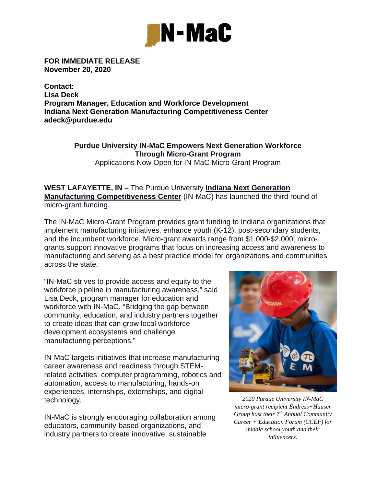

**FOR IMMEDIATE RELEASE November 20, 2020** 

**Contact: Lisa Deck Program Manager, Education and Workforce Development Indiana Next Generation Manufacturing Competitiveness Center adeck@purdue.edu** 

## **Purdue University IN-MaC Empowers Next Generation Workforce Through Micro-Grant Program**  Applications Now Open for IN-MaC Micro-Grant Program

**WEST LAFAYETTE, IN –** The Purdue University **Indiana Next Generation Manufacturing Competitiveness Center** (IN-MaC) has launched the third round of micro-grant funding.

The IN-MaC Micro-Grant Program provides grant funding to Indiana organizations that implement manufacturing initiatives, enhance youth (K-12), post-secondary students, and the incumbent workforce. Micro-grant awards range from \$1,000-\$2,000; microgrants support innovative programs that focus on increasing access and awareness to manufacturing and serving as a best practice model for organizations and communities across the state.

"IN-MaC strives to provide access and equity to the workforce pipeline in manufacturing awareness," said Lisa Deck, program manager for education and workforce with IN-MaC. "Bridging the gap between community, education, and industry partners together to create ideas that can grow local workforce development ecosystems and challenge manufacturing perceptions."

IN-MaC targets initiatives that increase manufacturing career awareness and readiness through STEMrelated activities: computer programming, robotics and automation, access to manufacturing, hands-on experiences, internships, externships, and digital technology.

IN-MaC is strongly encouraging collaboration among educators, community-based organizations, and industry partners to create innovative, sustainable



*2020 Purdue University IN-MaC micro-grant recipient Endress+Hauser Group host their 7th Annual Community Career + Education Forum (CCEF) for middle school youth and their influencers.*